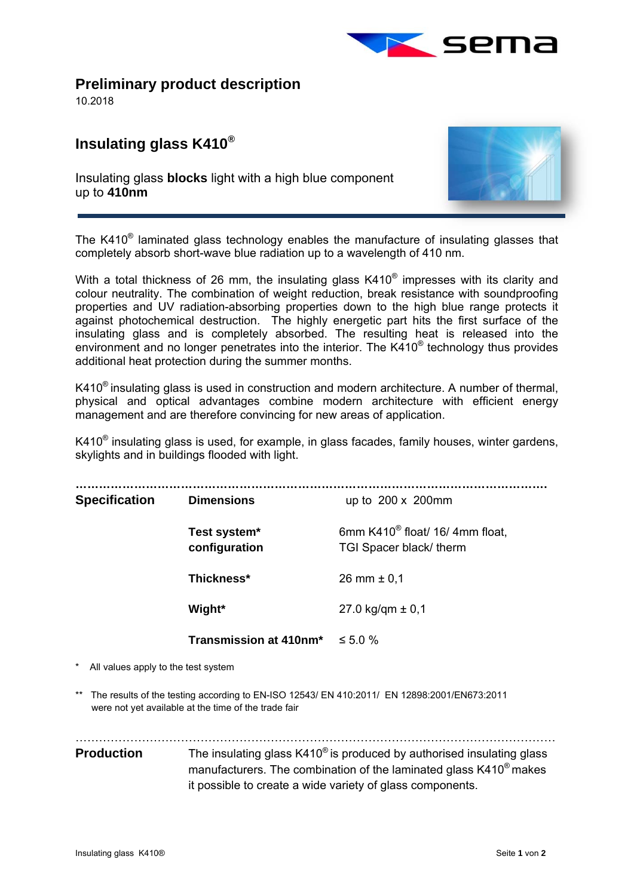

**Preliminary product description** 

10.2018

l,

## **Insulating glass K410®**

Insulating glass **blocks** light with a high blue component up to **410nm** 



The K410® laminated glass technology enables the manufacture of insulating glasses that completely absorb short-wave blue radiation up to a wavelength of 410 nm.

With a total thickness of 26 mm, the insulating glass K410<sup>®</sup> impresses with its clarity and colour neutrality. The combination of weight reduction, break resistance with soundproofing properties and UV radiation-absorbing properties down to the high blue range protects it against photochemical destruction. The highly energetic part hits the first surface of the insulating glass and is completely absorbed. The resulting heat is released into the environment and no longer penetrates into the interior. The K410® technology thus provides additional heat protection during the summer months.

K410<sup>®</sup> insulating glass is used in construction and modern architecture. A number of thermal, physical and optical advantages combine modern architecture with efficient energy management and are therefore convincing for new areas of application.

 $K410<sup>®</sup>$  insulating glass is used, for example, in glass facades, family houses, winter gardens, skylights and in buildings flooded with light.

| <b>Specification</b>                                                                        | <b>Dimensions</b>                    | up to $200 \times 200$ mm                                              |
|---------------------------------------------------------------------------------------------|--------------------------------------|------------------------------------------------------------------------|
|                                                                                             | Test system*<br>configuration        | 6mm K410 <sup>®</sup> float/ 16/ 4mm float,<br>TGI Spacer black/ therm |
|                                                                                             | Thickness*                           | 26 mm $\pm$ 0,1                                                        |
|                                                                                             | Wight*                               | 27.0 kg/qm $\pm$ 0,1                                                   |
|                                                                                             | Transmission at 410nm* $\leq 5.0 \%$ |                                                                        |
| $\star$ All $\star$ all $\star$ and $\star$ and $\star$ and $\star$ and $\star$ and $\star$ |                                      |                                                                        |

- All values apply to the test system
- \*\* The results of the testing according to EN-ISO 12543/ EN 410:2011/ EN 12898:2001/EN673:2011 were not yet available at the time of the trade fair

……………………………………………………………………………………………………………

## **Production** The insulating glass K410<sup>®</sup> is produced by authorised insulating glass manufacturers. The combination of the laminated glass K410® makes it possible to create a wide variety of glass components.